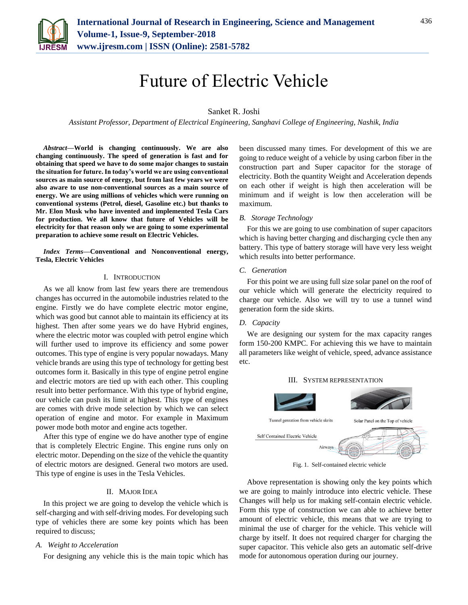

# Future of Electric Vehicle

# Sanket R. Joshi

*Assistant Professor, Department of Electrical Engineering, Sanghavi College of Engineering, Nashik, India*

*Abstract***—World is changing continuously. We are also changing continuously. The speed of generation is fast and for obtaining that speed we have to do some major changes to sustain the situation for future. In today's world we are using conventional sources as main source of energy, but from last few years we were also aware to use non-conventional sources as a main source of energy. We are using millions of vehicles which were running on conventional systems (Petrol, diesel, Gasoline etc.) but thanks to Mr. Elon Musk who have invented and implemented Tesla Cars for production. We all know that future of Vehicles will be electricity for that reason only we are going to some experimental preparation to achieve some result on Electric Vehicles.**

*Index Terms***—Conventional and Nonconventional energy, Tesla, Electric Vehicles**

#### I. INTRODUCTION

As we all know from last few years there are tremendous changes has occurred in the automobile industries related to the engine. Firstly we do have complete electric motor engine, which was good but cannot able to maintain its efficiency at its highest. Then after some years we do have Hybrid engines, where the electric motor was coupled with petrol engine which will further used to improve its efficiency and some power outcomes. This type of engine is very popular nowadays. Many vehicle brands are using this type of technology for getting best outcomes form it. Basically in this type of engine petrol engine and electric motors are tied up with each other. This coupling result into better performance. With this type of hybrid engine, our vehicle can push its limit at highest. This type of engines are comes with drive mode selection by which we can select operation of engine and motor. For example in Maximum power mode both motor and engine acts together.

After this type of engine we do have another type of engine that is completely Electric Engine. This engine runs only on electric motor. Depending on the size of the vehicle the quantity of electric motors are designed. General two motors are used. This type of engine is uses in the Tesla Vehicles.

#### II. MAJOR IDEA

In this project we are going to develop the vehicle which is self-charging and with self-driving modes. For developing such type of vehicles there are some key points which has been required to discuss;

#### *A. Weight to Acceleration*

For designing any vehicle this is the main topic which has

been discussed many times. For development of this we are going to reduce weight of a vehicle by using carbon fiber in the construction part and Super capacitor for the storage of electricity. Both the quantity Weight and Acceleration depends on each other if weight is high then acceleration will be minimum and if weight is low then acceleration will be maximum.

#### *B. Storage Technology*

For this we are going to use combination of super capacitors which is having better charging and discharging cycle then any battery. This type of battery storage will have very less weight which results into better performance.

#### *C. Generation*

For this point we are using full size solar panel on the roof of our vehicle which will generate the electricity required to charge our vehicle. Also we will try to use a tunnel wind generation form the side skirts.

### *D. Capacity*

We are designing our system for the max capacity ranges form 150-200 KMPC. For achieving this we have to maintain all parameters like weight of vehicle, speed, advance assistance etc.





Fig. 1. Self-contained electric vehicle

Above representation is showing only the key points which we are going to mainly introduce into electric vehicle. These Changes will help us for making self-contain electric vehicle. Form this type of construction we can able to achieve better amount of electric vehicle, this means that we are trying to minimal the use of charger for the vehicle. This vehicle will charge by itself. It does not required charger for charging the super capacitor. This vehicle also gets an automatic self-drive mode for autonomous operation during our journey.